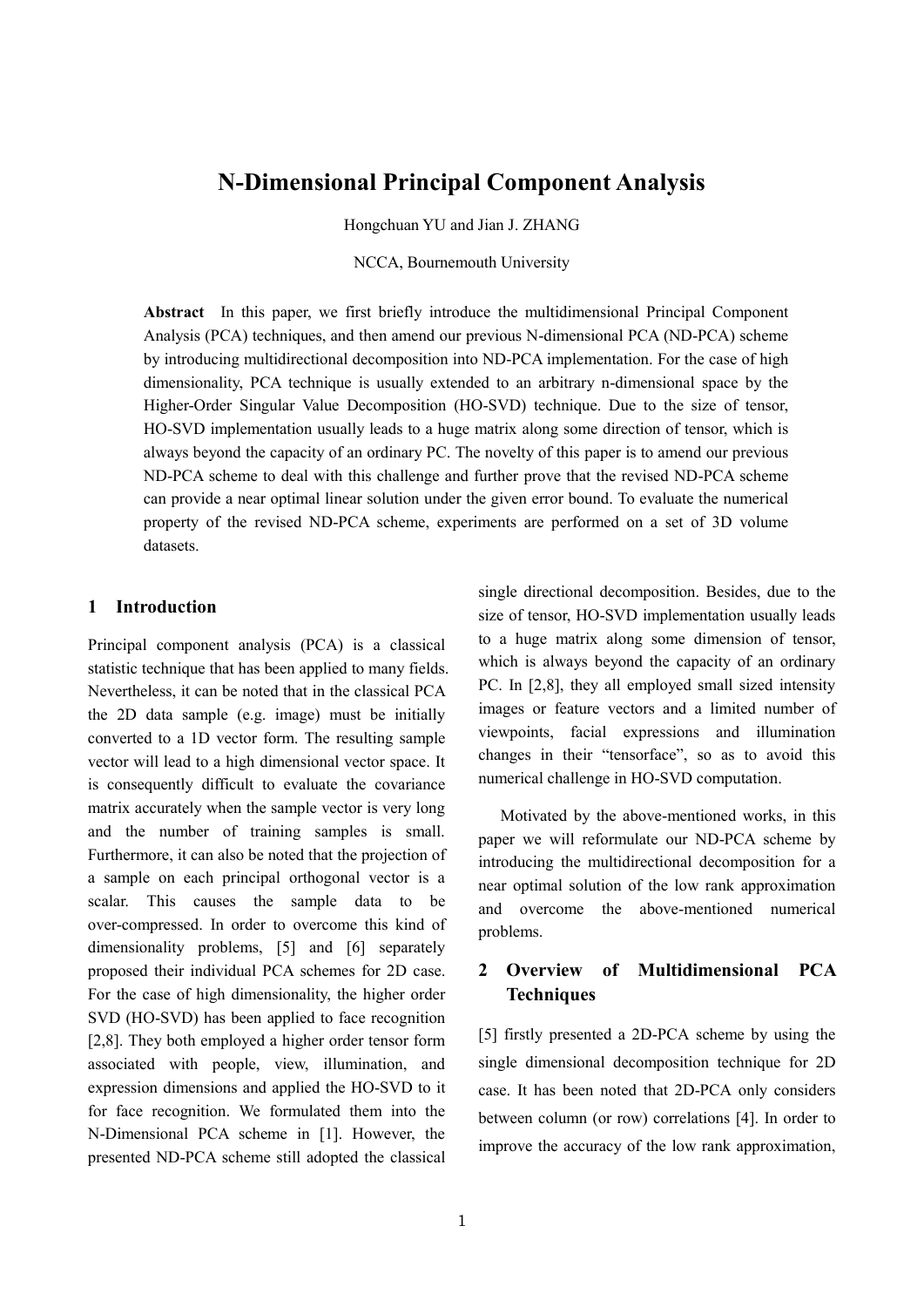# **N-Dimensional Principal Component Analysis**

Hongchuan YU and Jian J. ZHANG

NCCA, Bournemouth University

**Abstract** In this paper, we first briefly introduce the multidimensional Principal Component Analysis (PCA) techniques, and then amend our previous N-dimensional PCA (ND-PCA) scheme by introducing multidirectional decomposition into ND-PCA implementation. For the case of high dimensionality, PCA technique is usually extended to an arbitrary n-dimensional space by the Higher-Order Singular Value Decomposition (HO-SVD) technique. Due to the size of tensor, HO-SVD implementation usually leads to a huge matrix along some direction of tensor, which is always beyond the capacity of an ordinary PC. The novelty of this paper is to amend our previous ND-PCA scheme to deal with this challenge and further prove that the revised ND-PCA scheme can provide a near optimal linear solution under the given error bound. To evaluate the numerical property of the revised ND-PCA scheme, experiments are performed on a set of 3D volume datasets.

## **1 Introduction**

Principal component analysis (PCA) is a classical statistic technique that has been applied to many fields. Nevertheless, it can be noted that in the classical PCA the 2D data sample (e.g. image) must be initially converted to a 1D vector form. The resulting sample vector will lead to a high dimensional vector space. It is consequently difficult to evaluate the covariance matrix accurately when the sample vector is very long and the number of training samples is small. Furthermore, it can also be noted that the projection of a sample on each principal orthogonal vector is a scalar. This causes the sample data to be over-compressed. In order to overcome this kind of dimensionality problems, [5] and [6] separately proposed their individual PCA schemes for 2D case. For the case of high dimensionality, the higher order SVD (HO-SVD) has been applied to face recognition [2,8]. They both employed a higher order tensor form associated with people, view, illumination, and expression dimensions and applied the HO-SVD to it for face recognition. We formulated them into the N-Dimensional PCA scheme in [1]. However, the presented ND-PCA scheme still adopted the classical

single directional decomposition. Besides, due to the size of tensor, HO-SVD implementation usually leads to a huge matrix along some dimension of tensor, which is always beyond the capacity of an ordinary PC. In [2,8], they all employed small sized intensity images or feature vectors and a limited number of viewpoints, facial expressions and illumination changes in their "tensorface", so as to avoid this numerical challenge in HO-SVD computation.

Motivated by the above-mentioned works, in this paper we will reformulate our ND-PCA scheme by introducing the multidirectional decomposition for a near optimal solution of the low rank approximation and overcome the above-mentioned numerical problems.

## **2 Overview of Multidimensional PCA Techniques**

[5] firstly presented a 2D-PCA scheme by using the single dimensional decomposition technique for 2D case. It has been noted that 2D-PCA only considers between column (or row) correlations [4]. In order to improve the accuracy of the low rank approximation,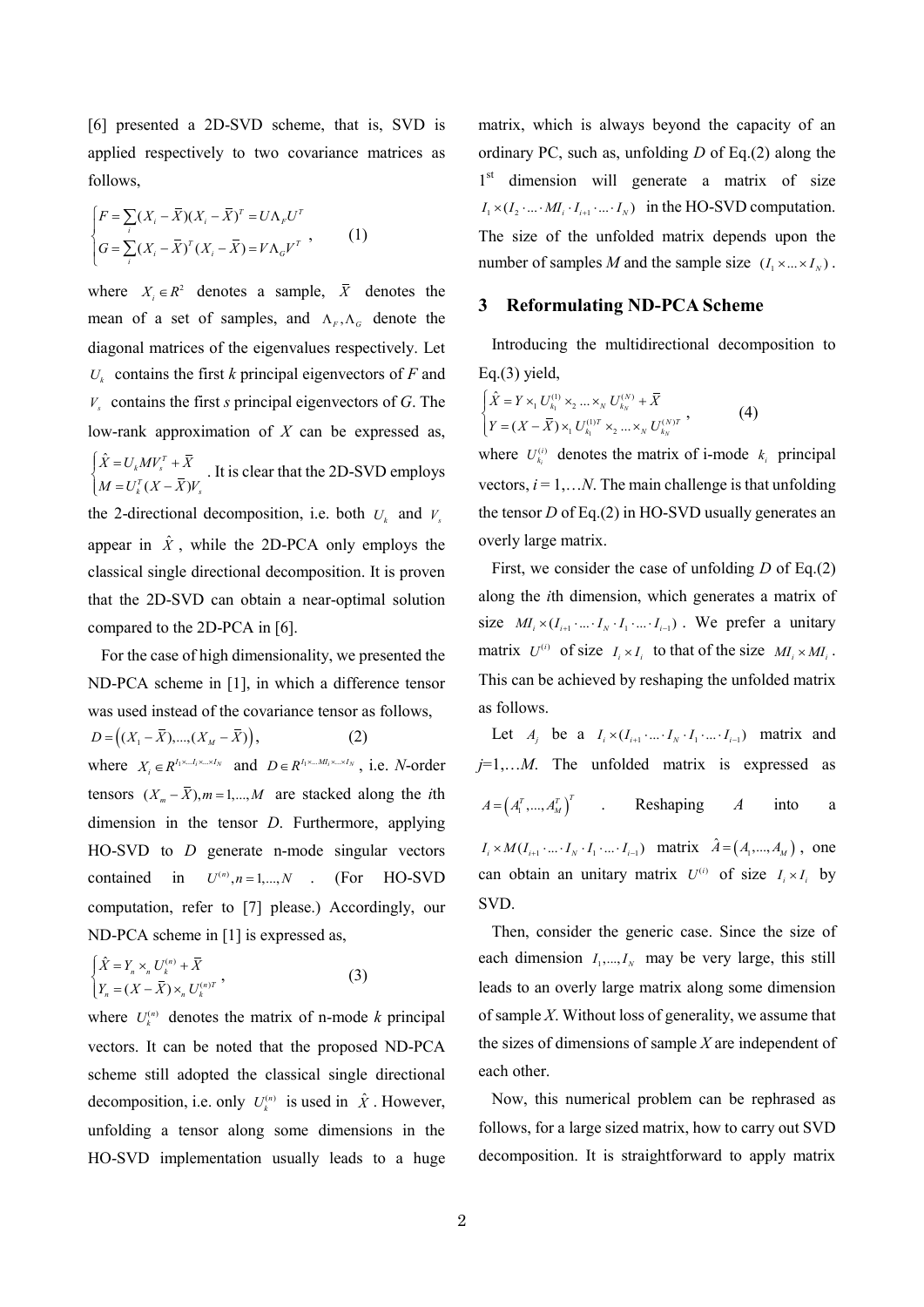[6] presented a 2D-SVD scheme, that is, SVD is applied respectively to two covariance matrices as follows,

$$
\begin{cases}\nF = \sum_{i} (X_i - \overline{X})(X_i - \overline{X})^T = U\Lambda_F U^T \\
G = \sum_{i} (X_i - \overline{X})^T (X_i - \overline{X}) = V\Lambda_G V^T\n\end{cases}
$$
\n(1)

where  $X_i \in \mathbb{R}^2$  denotes a sample,  $\overline{X}$  denotes the mean of a set of samples, and  $\Lambda_F$ ,  $\Lambda_G$  denote the diagonal matrices of the eigenvalues respectively. Let  $U_k$  contains the first *k* principal eigenvectors of *F* and *Vs* contains the first *s* principal eigenvectors of *G*. The low-rank approximation of *X* can be expressed as, ˆ  $(X-\overline{X})$  $\frac{1}{k}MV_s^T$  $\sum_{k}^{T} (X - \overline{X})V_{s}$  $\overline{X} = U_k M V_s^T + \overline{X}$  $\begin{cases} \hat{X} = U_k M V_s^T + \bar{X} \ M = U_k^T (X - \bar{X}) V \end{cases}$  $M = U_k^T(X - \lambda)$ . It is clear that the 2D-SVD employs the 2-directional decomposition, i.e. both  $U_k$  and  $V_s$ appear in  $\hat{X}$ , while the 2D-PCA only employs the classical single directional decomposition. It is proven that the 2D-SVD can obtain a near-optimal solution compared to the 2D-PCA in [6].

For the case of high dimensionality, we presented the ND-PCA scheme in [1], in which a difference tensor was used instead of the covariance tensor as follows,

 $D = ((X_1 - \bar{X}),..., (X_M - \bar{X})),$  (2) where  $X_i \in R^{I_1 \times \ldots I_i \times \ldots \times I_N}$  and  $D \in R^{I_1 \times \ldots \times I_N}$ , i.e. *N*-order tensors  $(X_m - \overline{X})$ ,  $m = 1,..., M$  are stacked along the *i*th dimension in the tensor *D*. Furthermore, applying HO-SVD to *D* generate n-mode singular vectors contained in  $U^{(n)}$ ,  $n = 1,..., N$  . (For HO-SVD computation, refer to [7] please.) Accordingly, our ND-PCA scheme in [1] is expressed as,

$$
\begin{cases} \hat{X} = Y_n \times_n U_k^{(n)} + \bar{X} \\ Y_n = (X - \bar{X}) \times_n U_k^{(n)T} \end{cases}
$$
 (3)

where  $U_k^{(n)}$  denotes the matrix of n-mode *k* principal vectors. It can be noted that the proposed ND-PCA scheme still adopted the classical single directional decomposition, i.e. only  $U_k^{(n)}$  is used in  $\hat{X}$ . However, unfolding a tensor along some dimensions in the HO-SVD implementation usually leads to a huge

matrix, which is always beyond the capacity of an ordinary PC, such as, unfolding *D* of Eq.(2) along the 1<sup>st</sup> dimension will generate a matrix of size  $I_1 \times (I_2 \cdot ... \cdot M I_i \cdot I_{i+1} \cdot ... \cdot I_N)$  in the HO-SVD computation. The size of the unfolded matrix depends upon the number of samples *M* and the sample size  $(I_1 \times ... \times I_N)$ .

## **3 Reformulating ND-PCA Scheme**

Introducing the multidirectional decomposition to Eq.(3) yield,

$$
\begin{cases} \hat{X} = Y \times_1 U_{k_1}^{(1)} \times_2 ... \times_N U_{k_N}^{(N)} + \overline{X} \\ Y = (X - \overline{X}) \times_1 U_{k_1}^{(1)T} \times_2 ... \times_N U_{k_N}^{(N)T} \end{cases}
$$
 (4)

where  $U_{k_i}^{(i)}$  denotes the matrix of i-mode  $k_i$  principal vectors,  $i = 1,...N$ . The main challenge is that unfolding the tensor *D* of Eq.(2) in HO-SVD usually generates an overly large matrix.

First, we consider the case of unfolding *D* of Eq.(2) along the *i*th dimension, which generates a matrix of size  $M_i \times (I_{i+1} \cdot ... \cdot I_N \cdot I_1 \cdot ... \cdot I_{i-1})$ . We prefer a unitary matrix  $U^{(i)}$  of size  $I_i \times I_i$  to that of the size  $MI_i \times MI_i$ . This can be achieved by reshaping the unfolded matrix as follows.

Let  $A_j$  be a  $I_i \times (I_{i+1} \cdot ... \cdot I_N \cdot I_1 \cdot ... \cdot I_{i-1})$  matrix and *j*=1,…*M*. The unfolded matrix is expressed as  $A = (A_1^T, ..., A_M^T)^T$  . Reshaping *A* into a  $I_i \times M(I_{i+1} \cdot ... \cdot I_N \cdot I_1 \cdot ... \cdot I_{i-1})$  matrix  $\hat{A} = (A_1,..., A_M)$ , one can obtain an unitary matrix  $U^{(i)}$  of size  $I_i \times I_i$  by SVD.

Then, consider the generic case. Since the size of each dimension  $I_1, \ldots, I_N$  may be very large, this still leads to an overly large matrix along some dimension of sample *X*. Without loss of generality, we assume that the sizes of dimensions of sample *X* are independent of each other.

Now, this numerical problem can be rephrased as follows, for a large sized matrix, how to carry out SVD decomposition. It is straightforward to apply matrix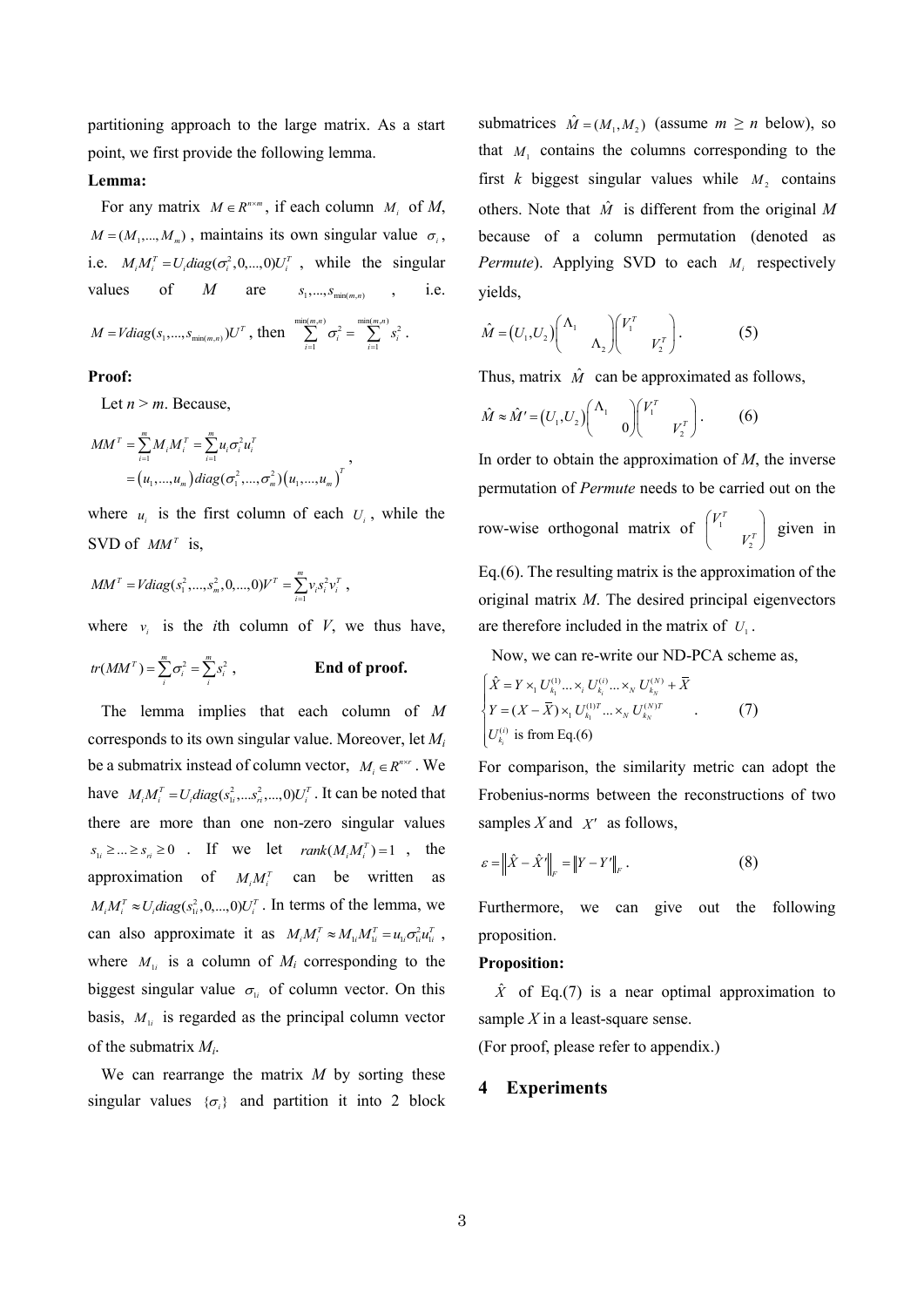partitioning approach to the large matrix. As a start point, we first provide the following lemma.

## **Lemma:**

For any matrix  $M \in R^{n \times m}$ , if each column  $M_i$  of  $M$ ,  $M = (M_1, ..., M_m)$ , maintains its own singular value  $\sigma_i$ , i.e.  $M_i M_i^T = U_i diag(\sigma_i^2, 0, ..., 0) U_i^T$ , while the singular values of *M* are  $s_1, ..., s_{\min(m, n)}$ , i.e.  $M = Vdiag(s_1, ..., s_{min(m,n)})U^T$ , then  $\sum_{n=1}^{\min(m,n)} \sigma_i^2 = \sum_{n=1}^{\min(m,n)} s_i^2$  $i=1$  $m,n$ )  $\min(m,n)$  $\sum_{i=1}^{n} \sigma_i^2 = \sum_{i=1}^{n} s_i^2$ .

#### **Proof:**

Let  $n > m$ . Because,

$$
MM^T = \sum_{i=1}^m M_i M_i^T = \sum_{i=1}^m u_i \sigma_i^2 u_i^T
$$
  
=  $(u_1, ..., u_m)$  diag $(\sigma_1^2, ..., \sigma_m^2)$   $(u_1, ..., u_m)$ <sup>T</sup>

where  $u_i$  is the first column of each  $U_i$ , while the SVD of  $MM^T$  is,

,

$$
MM^{T} = Vdiag(s_{1}^{2},...,s_{m}^{2},0,...,0)V^{T} = \sum_{i=1}^{m} v_{i}s_{i}^{2}v_{i}^{T},
$$

where  $v_i$  is the *i*th column of *V*, we thus have,

$$
tr(MMT) = \sum_{i}^{m} \sigma_i^2 = \sum_{i}^{m} s_i^2,
$$
 End of proof.

The lemma implies that each column of *M* corresponds to its own singular value. Moreover, let *M<sup>i</sup>* be a submatrix instead of column vector,  $M_i \in R^{n \times r}$ . We have  $M_i M_i^T = U_i diag(s_{1i}^2, \ldots, s_{ri}^2, \ldots, 0) U_i^T$ . It can be noted that there are more than one non-zero singular values  $s_{1i} \geq ... \geq s_{ri} \geq 0$  . If we let  $rank(M_iM_i^T)=1$ , the approximation of  $M_i M_i^T$  can be written as  $M_i M_i^T \approx U_i diag(s_{1i}^2, 0, \ldots, 0) U_i^T$ . In terms of the lemma, we can also approximate it as  $M_i M_i^T \approx M_{1i} M_{1i}^T = u_{1i} \sigma_{1i}^2 u_{1i}^T$ , where  $M_{1i}$  is a column of  $M_i$  corresponding to the biggest singular value  $\sigma_{li}$  of column vector. On this basis,  $M_{1i}$  is regarded as the principal column vector of the submatrix *M<sup>i</sup>* .

We can rearrange the matrix *M* by sorting these singular values  $\{\sigma_i\}$  and partition it into 2 block

submatrices  $\hat{M} = (M_1, M_2)$  (assume  $m \ge n$  below), so that  $M_1$  contains the columns corresponding to the first  $k$  biggest singular values while  $M<sub>2</sub>$  contains others. Note that  $\hat{M}$  is different from the original M because of a column permutation (denoted as *Permute*). Applying SVD to each *Mi* respectively yields,

$$
\hat{M} = (U_1, U_2) \begin{pmatrix} \Lambda_1 & \\ & \Lambda_2 \end{pmatrix} \begin{pmatrix} V_1^T & \\ & V_2^T \end{pmatrix} .
$$
 (5)

Thus, matrix  $\hat{M}$  can be approximated as follows,

$$
\hat{M} \approx \hat{M}' = (U_1, U_2) \begin{pmatrix} \Lambda_1 & 0 \\ 0 & 0 \end{pmatrix} \begin{pmatrix} V_1^T & 0 \\ V_2^T \end{pmatrix} . \tag{6}
$$

In order to obtain the approximation of *M*, the inverse permutation of *Permute* needs to be carried out on the row-wise orthogonal matrix of  $\vert$ ' 2 *T T V*  $\begin{pmatrix} V_1^T & \\ & V_2^T \end{pmatrix}$  given in Eq.(6). The resulting matrix is the approximation of the

original matrix *M*. The desired principal eigenvectors are therefore included in the matrix of  $U_1$ .

Now, we can re-write our ND-PCA scheme as,

$$
\begin{cases}\n\hat{X} = Y \times_{1} U_{k_{1}}^{(1)} \dots \times_{i} U_{k_{i}}^{(i)} \dots \times_{N} U_{k_{N}}^{(N)} + \overline{X} \\
Y = (X - \overline{X}) \times_{1} U_{k_{1}}^{(1)T} \dots \times_{N} U_{k_{N}}^{(N)T} \\
U_{k_{i}}^{(i)} \text{ is from Eq.(6)}\n\end{cases} (7)
$$

For comparison, the similarity metric can adopt the Frobenius-norms between the reconstructions of two samples  $X$  and  $X'$  as follows,

$$
\varepsilon = \left\| \hat{X} - \hat{X}' \right\|_{F} = \left\| Y - Y' \right\|_{F} . \tag{8}
$$

Furthermore, we can give out the following proposition.

#### **Proposition:**

 $\hat{X}$  of Eq.(7) is a near optimal approximation to sample *X* in a least-square sense.

(For proof, please refer to appendix.)

## **4 Experiments**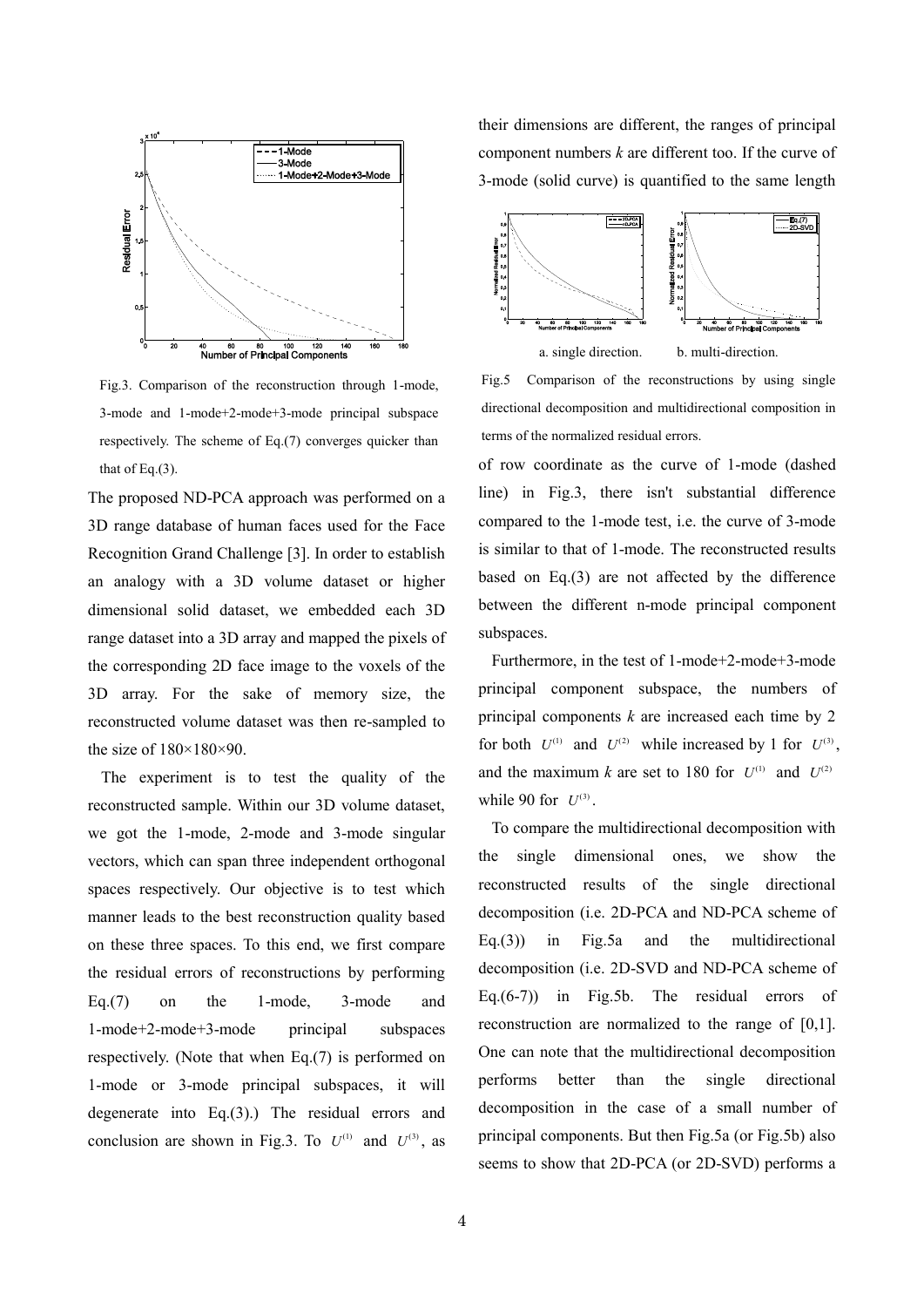

Fig.3. Comparison of the reconstruction through 1-mode, 3-mode and 1-mode+2-mode+3-mode principal subspace respectively. The scheme of Eq.(7) converges quicker than that of Eq. $(3)$ .

The proposed ND-PCA approach was performed on a 3D range database of human faces used for the Face Recognition Grand Challenge [3]. In order to establish an analogy with a 3D volume dataset or higher dimensional solid dataset, we embedded each 3D range dataset into a 3D array and mapped the pixels of the corresponding 2D face image to the voxels of the 3D array. For the sake of memory size, the reconstructed volume dataset was then re-sampled to the size of 180×180×90.

The experiment is to test the quality of the reconstructed sample. Within our 3D volume dataset, we got the 1-mode, 2-mode and 3-mode singular vectors, which can span three independent orthogonal spaces respectively. Our objective is to test which manner leads to the best reconstruction quality based on these three spaces. To this end, we first compare the residual errors of reconstructions by performing Eq.(7) on the 1-mode, 3-mode and 1-mode+2-mode+3-mode principal subspaces respectively. (Note that when Eq.(7) is performed on 1-mode or 3-mode principal subspaces, it will degenerate into Eq.(3).) The residual errors and conclusion are shown in Fig.3. To  $U^{(1)}$  and  $U^{(3)}$ , as their dimensions are different, the ranges of principal component numbers *k* are different too. If the curve of 3-mode (solid curve) is quantified to the same length



Fig.5 Comparison of the reconstructions by using single directional decomposition and multidirectional composition in terms of the normalized residual errors.

of row coordinate as the curve of 1-mode (dashed line) in Fig.3, there isn't substantial difference compared to the 1-mode test, i.e. the curve of 3-mode is similar to that of 1-mode. The reconstructed results based on Eq.(3) are not affected by the difference between the different n-mode principal component subspaces.

Furthermore, in the test of 1-mode+2-mode+3-mode principal component subspace, the numbers of principal components *k* are increased each time by 2 for both  $U^{(1)}$  and  $U^{(2)}$  while increased by 1 for  $U^{(3)}$ , and the maximum *k* are set to 180 for  $U^{(1)}$  and  $U^{(2)}$ while 90 for  $U^{(3)}$ .

To compare the multidirectional decomposition with the single dimensional ones, we show the reconstructed results of the single directional decomposition (i.e. 2D-PCA and ND-PCA scheme of Eq.(3)) in Fig.5a and the multidirectional decomposition (i.e. 2D-SVD and ND-PCA scheme of Eq.(6-7)) in Fig.5b. The residual errors of reconstruction are normalized to the range of [0,1]. One can note that the multidirectional decomposition performs better than the single directional decomposition in the case of a small number of principal components. But then Fig.5a (or Fig.5b) also seems to show that 2D-PCA (or 2D-SVD) performs a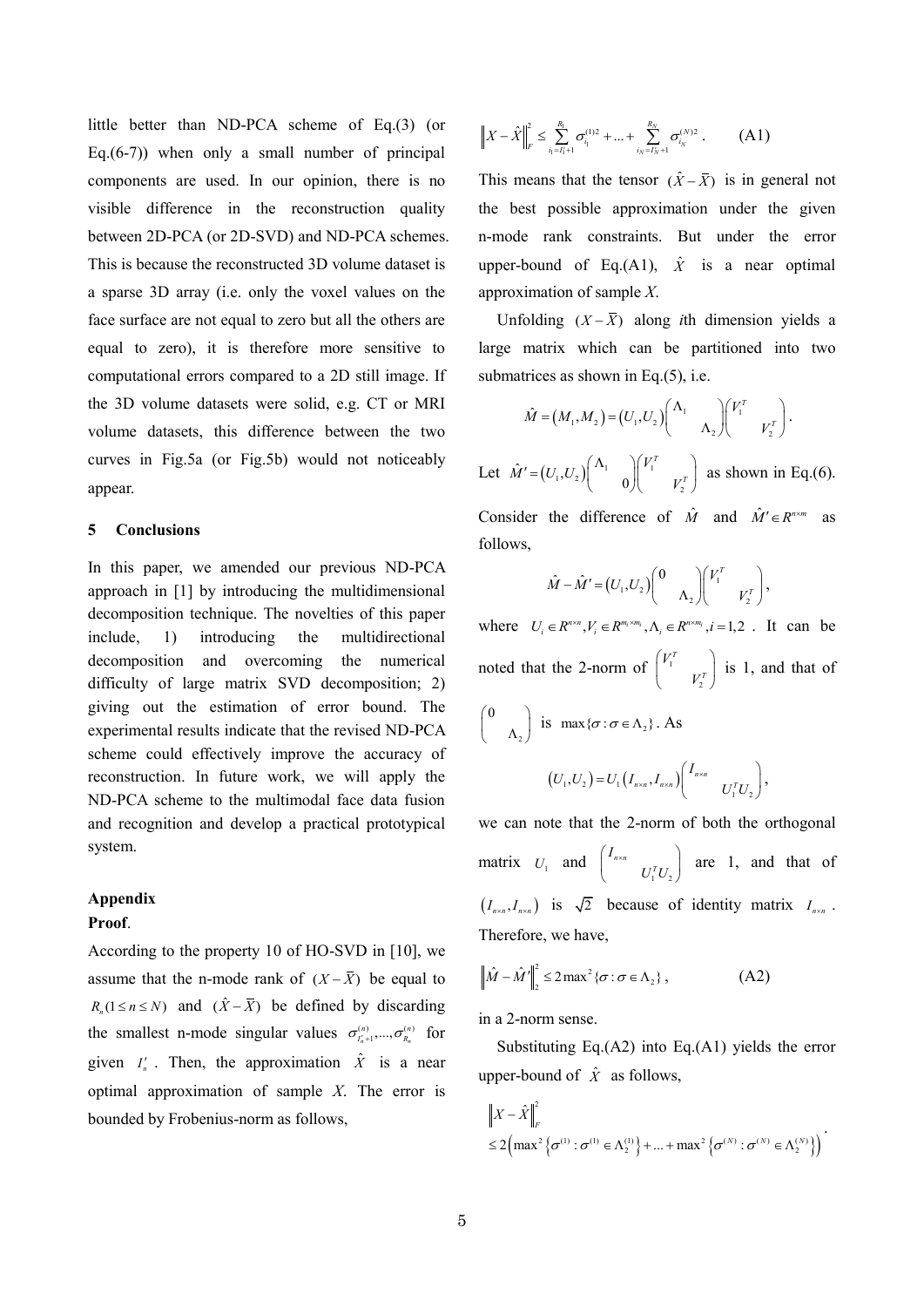little better than ND-PCA scheme of Eq.(3) (or Eq. $(6-7)$ ) when only a small number of principal components are used. In our opinion, there is no visible difference in the reconstruction quality between 2D-PCA (or 2D-SVD) and ND-PCA schemes. This is because the reconstructed 3D volume dataset is a sparse 3D array (i.e. only the voxel values on the face surface are not equal to zero but all the others are equal to zero), it is therefore more sensitive to computational errors compared to a 2D still image. If the 3D volume datasets were solid, e.g. CT or MRI volume datasets, this difference between the two curves in Fig.5a (or Fig.5b) would not noticeably appear.

#### **5 Conclusions**

In this paper, we amended our previous ND-PCA approach in [1] by introducing the multidimensional decomposition technique. The novelties of this paper include, 1) introducing the multidirectional decomposition and overcoming the numerical difficulty of large matrix SVD decomposition; 2) giving out the estimation of error bound. The experimental results indicate that the revised ND-PCA scheme could effectively improve the accuracy of reconstruction. In future work, we will apply the ND-PCA scheme to the multimodal face data fusion and recognition and develop a practical prototypical system.

## **Appendix**

## **Proof**.

According to the property 10 of HO-SVD in [10], we assume that the n-mode rank of  $(X - \overline{X})$  be equal to  $R_n(1 \le n \le N)$  and  $(\hat{X} - \overline{X})$  be defined by discarding the smallest n-mode singular values  $\sigma_{I_n^{(n)}+1}^{(n)},...,\sigma_{I_n^{(n)}}^{(n)}$  for given  $I'_n$ . Then, the approximation  $\hat{X}$  is a near optimal approximation of sample *X*. The error is bounded by Frobenius-norm as follows,

$$
\left\|X-\hat{X}\right\|_{F}^{2} \leq \sum_{i_{1}=i_{1}+1}^{R_{1}} \sigma_{i_{1}}^{(1)2} + ... + \sum_{i_{N}=i_{N}+1}^{R_{N}} \sigma_{i_{N}}^{(N)2}.
$$
 (A1)

This means that the tensor  $(\hat{X} - \overline{X})$  is in general not the best possible approximation under the given n-mode rank constraints. But under the error upper-bound of Eq.(A1),  $\hat{X}$  is a near optimal approximation of sample *X*.

Unfolding  $(X - \overline{X})$  along *i*th dimension yields a large matrix which can be partitioned into two submatrices as shown in Eq.(5), i.e.

$$
\hat{M} = (M_1, M_2) = (U_1, U_2) \begin{pmatrix} \Lambda_1 & \\ & \Lambda_2 \end{pmatrix} \begin{pmatrix} V_1^T & \\ & V_2^T \end{pmatrix}.
$$

Let  $\hat{M}' = (U_1, U_2) \begin{pmatrix} 1 & 1 \\ 1 & 0 \end{pmatrix} \begin{pmatrix} 1 & 1 \\ 1 & 1 \end{pmatrix}$  $\hat{\mathcal{U}} = (U_1, U_2) \begin{pmatrix} \Lambda_1 & \ & 0 \end{pmatrix}$ *T T*  $\hat{M}' = (U_1, U_2) \begin{pmatrix} \Lambda_1 & \\ & 0 \end{pmatrix} \begin{pmatrix} V_1^T & \\ & V_2^T \end{pmatrix}$  a  $=(U_1,U_2)\begin{pmatrix} \Lambda_1 & \ 0 & \end{pmatrix} \begin{pmatrix} V_1^T & \ V_2^T \end{pmatrix}$  as shown in Eq.(6). Consider the difference of  $\hat{M}$  and  $\hat{M}' \in R^{n \times m}$  as follows,

$$
\hat{M} - \hat{M}' = (U_1, U_2) \begin{pmatrix} 0 & \\ & \Lambda_2 \end{pmatrix} \begin{pmatrix} V_1^T & \\ & V_2^T \end{pmatrix},
$$

where  $U_i \in R^{m \times n}, V_i \in R^{m_i \times m_i}, \Lambda_i \in R^{m \times m_i}, i = 1, 2$ . It can be noted that the 2-norm of  $\vert$  ' 2 *T T V*  $\begin{pmatrix} V_1^T & \\ V_2^T \end{pmatrix}$  is 1, and that of

$$
\begin{pmatrix} 0 & & \\ & \Lambda_2 & \end{pmatrix}
$$
 is  $\max{\lbrace \sigma : \sigma \in \Lambda_2 \rbrace}$ . As  

$$
(U_1, U_2) = U_1 (I_{n \times n}, I_{n \times n}) \begin{pmatrix} I_{n \times n} & & \\ & U_1^T U_2 \end{pmatrix},
$$

we can note that the 2-norm of both the orthogonal matrix  $U_1$  and  $\begin{bmatrix} I_{n \times n} \\ U_1^T U_2 \end{bmatrix}$  $n \times n$ *I*  $U_1^T U$  $\left( \begin{array}{ccc} I_{n \times n} & & \end{array} \right)$  $\begin{pmatrix} I_{n \times n} \\ U_1^T U_2 \end{pmatrix}$  are 1, and that of  $(I_{n \times n}, I_{n \times n})$  is  $\sqrt{2}$  because of identity matrix  $I_{n \times n}$ . Therefore, we have,

$$
\left\|\hat{M} - \hat{M}'\right\|_{2}^{2} \le 2 \max^{2} \{\sigma : \sigma \in \Lambda_{2}\},\tag{A2}
$$

in a 2-norm sense.

Substituting Eq.(A2) into Eq.(A1) yields the error upper-bound of  $\hat{X}$  as follows,

$$
\|X - \hat{X}\|_{F}^{2}
$$
  
\n
$$
\leq 2 \Big( \max^{2} \Big\{ \sigma^{(1)} : \sigma^{(1)} \in \Lambda_{2}^{(1)} \Big\} + ... + \max^{2} \Big\{ \sigma^{(N)} : \sigma^{(N)} \in \Lambda_{2}^{(N)} \Big\} \Big)^{2}
$$